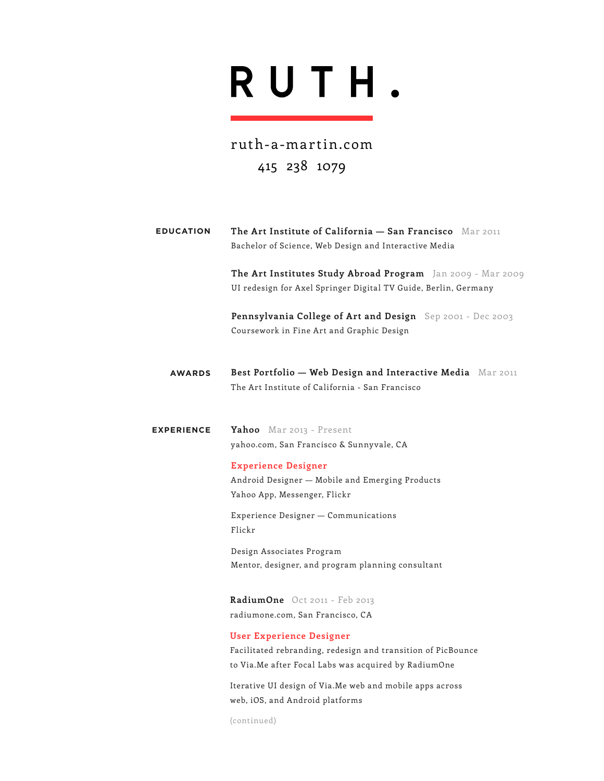# RUTH.

ruth-a-martin.com 415 238 1079

| <b>EDUCATION</b>  | The Art Institute of California - San Francisco Mar 2011<br>Bachelor of Science, Web Design and Interactive Media                                        |
|-------------------|----------------------------------------------------------------------------------------------------------------------------------------------------------|
|                   | The Art Institutes Study Abroad Program Jan 2009 - Mar 2009<br>UI redesign for Axel Springer Digital TV Guide, Berlin, Germany                           |
|                   | Pennsylvania College of Art and Design Sep 2001 - Dec 2003<br>Coursework in Fine Art and Graphic Design                                                  |
| <b>AWARDS</b>     | Best Portfolio - Web Design and Interactive Media Mar 2011<br>The Art Institute of California - San Francisco                                            |
| <b>EXPERIENCE</b> | Yahoo Mar 2013 - Present<br>yahoo.com, San Francisco & Sunnyvale, CA                                                                                     |
|                   | <b>Experience Designer</b><br>Android Designer - Mobile and Emerging Products<br>Yahoo App, Messenger, Flickr                                            |
|                   | Experience Designer - Communications<br>Flickr                                                                                                           |
|                   | Design Associates Program<br>Mentor, designer, and program planning consultant                                                                           |
|                   | RadiumOne Oct 2011 - Feb 2013<br>radiumone.com, San Francisco, CA                                                                                        |
|                   | <b>User Experience Designer</b><br>Facilitated rebranding, redesign and transition of PicBounce<br>to Via. Me after Focal Labs was acquired by RadiumOne |

Iterative UI design of Via.Me web and mobile apps across web, iOS, and Android platforms

(continued)